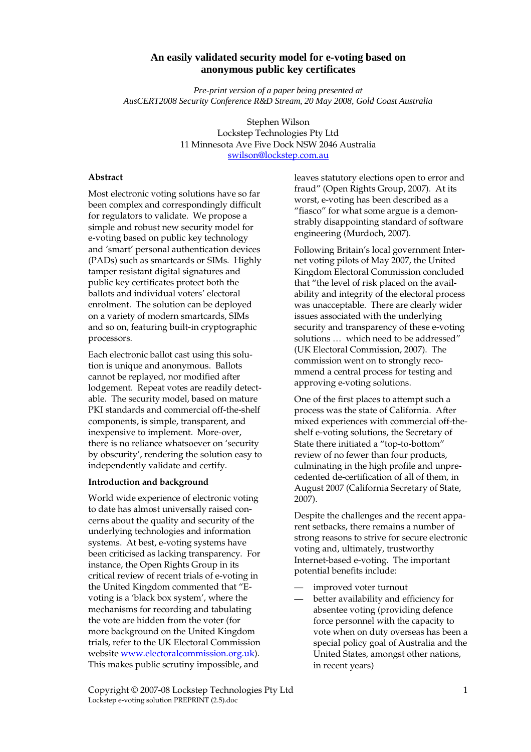# **An easily validated security model for e-voting based on anonymous public key certificates**

*Pre-print version of a paper being presented at AusCERT2008 Security Conference R&D Stream, 20 May 2008, Gold Coast Australia*

> Stephen Wilson Lockstep Technologies Pty Ltd 11 Minnesota Ave Five Dock NSW 2046 Australia swilson@lockstep.com.au

#### **Abstract**

Most electronic voting solutions have so far been complex and correspondingly difficult for regulators to validate. We propose a simple and robust new security model for e-voting based on public key technology and 'smart' personal authentication devices (PADs) such as smartcards or SIMs. Highly tamper resistant digital signatures and public key certificates protect both the ballots and individual voters' electoral enrolment. The solution can be deployed on a variety of modern smartcards, SIMs and so on, featuring built-in cryptographic processors.

Each electronic ballot cast using this solution is unique and anonymous. Ballots cannot be replayed, nor modified after lodgement. Repeat votes are readily detectable. The security model, based on mature PKI standards and commercial off-the-shelf components, is simple, transparent, and inexpensive to implement. More-over, there is no reliance whatsoever on 'security by obscurity', rendering the solution easy to independently validate and certify.

#### **Introduction and background**

World wide experience of electronic voting to date has almost universally raised concerns about the quality and security of the underlying technologies and information systems. At best, e-voting systems have been criticised as lacking transparency. For instance, the Open Rights Group in its critical review of recent trials of e-voting in the United Kingdom commented that "Evoting is a 'black box system', where the mechanisms for recording and tabulating the vote are hidden from the voter (for more background on the United Kingdom trials, refer to the UK Electoral Commission website www.electoralcommission.org.uk). This makes public scrutiny impossible, and

leaves statutory elections open to error and fraud" (Open Rights Group, 2007). At its worst, e-voting has been described as a "fiasco" for what some argue is a demonstrably disappointing standard of software engineering (Murdoch, 2007).

Following Britain's local government Internet voting pilots of May 2007, the United Kingdom Electoral Commission concluded that "the level of risk placed on the availability and integrity of the electoral process was unacceptable. There are clearly wider issues associated with the underlying security and transparency of these e-voting solutions … which need to be addressed" (UK Electoral Commission, 2007). The commission went on to strongly recommend a central process for testing and approving e-voting solutions.

One of the first places to attempt such a process was the state of California. After mixed experiences with commercial off-theshelf e-voting solutions, the Secretary of State there initiated a "top-to-bottom" review of no fewer than four products, culminating in the high profile and unprecedented de-certification of all of them, in August 2007 (California Secretary of State, 2007).

Despite the challenges and the recent apparent setbacks, there remains a number of strong reasons to strive for secure electronic voting and, ultimately, trustworthy Internet-based e-voting. The important potential benefits include:

- improved voter turnout
- better availability and efficiency for absentee voting (providing defence force personnel with the capacity to vote when on duty overseas has been a special policy goal of Australia and the United States, amongst other nations, in recent years)

Copyright © 2007-08 Lockstep Technologies Pty Ltd 1 Lockstep e-voting solution PREPRINT (2.5).doc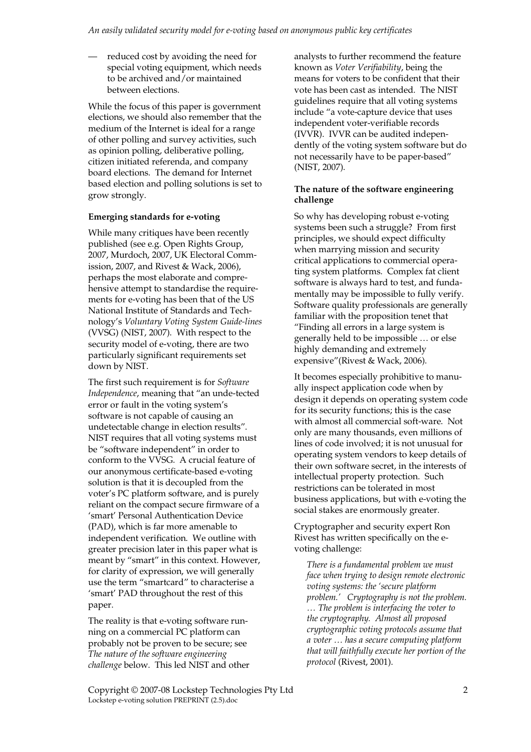reduced cost by avoiding the need for special voting equipment, which needs to be archived and/or maintained between elections.

While the focus of this paper is government elections, we should also remember that the medium of the Internet is ideal for a range of other polling and survey activities, such as opinion polling, deliberative polling, citizen initiated referenda, and company board elections. The demand for Internet based election and polling solutions is set to grow strongly.

## **Emerging standards for e-voting**

While many critiques have been recently published (see e.g. Open Rights Group, 2007, Murdoch, 2007, UK Electoral Commission, 2007, and Rivest & Wack, 2006), perhaps the most elaborate and comprehensive attempt to standardise the requirements for e-voting has been that of the US National Institute of Standards and Technology's *Voluntary Voting System Guide-lines* (VVSG) (NIST, 2007). With respect to the security model of e-voting, there are two particularly significant requirements set down by NIST.

The first such requirement is for *Software Independence*, meaning that "an unde-tected error or fault in the voting system's software is not capable of causing an undetectable change in election results". NIST requires that all voting systems must be "software independent" in order to conform to the VVSG. A crucial feature of our anonymous certificate-based e-voting solution is that it is decoupled from the voter's PC platform software, and is purely reliant on the compact secure firmware of a 'smart' Personal Authentication Device (PAD), which is far more amenable to independent verification. We outline with greater precision later in this paper what is meant by "smart" in this context. However, for clarity of expression, we will generally use the term "smartcard" to characterise a 'smart' PAD throughout the rest of this paper.

The reality is that e-voting software running on a commercial PC platform can probably not be proven to be secure; see *The nature of the software engineering challenge* below. This led NIST and other analysts to further recommend the feature known as *Voter Verifiability*, being the means for voters to be confident that their vote has been cast as intended. The NIST guidelines require that all voting systems include "a vote-capture device that uses independent voter-verifiable records (IVVR). IVVR can be audited independently of the voting system software but do not necessarily have to be paper-based" (NIST, 2007).

## **The nature of the software engineering challenge**

So why has developing robust e-voting systems been such a struggle? From first principles, we should expect difficulty when marrying mission and security critical applications to commercial operating system platforms. Complex fat client software is always hard to test, and fundamentally may be impossible to fully verify. Software quality professionals are generally familiar with the proposition tenet that "Finding all errors in a large system is generally held to be impossible … or else highly demanding and extremely expensive"(Rivest & Wack, 2006).

It becomes especially prohibitive to manually inspect application code when by design it depends on operating system code for its security functions; this is the case with almost all commercial soft-ware. Not only are many thousands, even millions of lines of code involved; it is not unusual for operating system vendors to keep details of their own software secret, in the interests of intellectual property protection. Such restrictions can be tolerated in most business applications, but with e-voting the social stakes are enormously greater.

Cryptographer and security expert Ron Rivest has written specifically on the evoting challenge:

*There is a fundamental problem we must face when trying to design remote electronic voting systems: the 'secure platform problem.' Cryptography is not the problem. … The problem is interfacing the voter to the cryptography. Almost all proposed cryptographic voting protocols assume that a voter … has a secure computing platform that will faithfully execute her portion of the protocol* (Rivest, 2001).

Copyright © 2007-08 Lockstep Technologies Pty Ltd 2 Lockstep e-voting solution PREPRINT (2.5).doc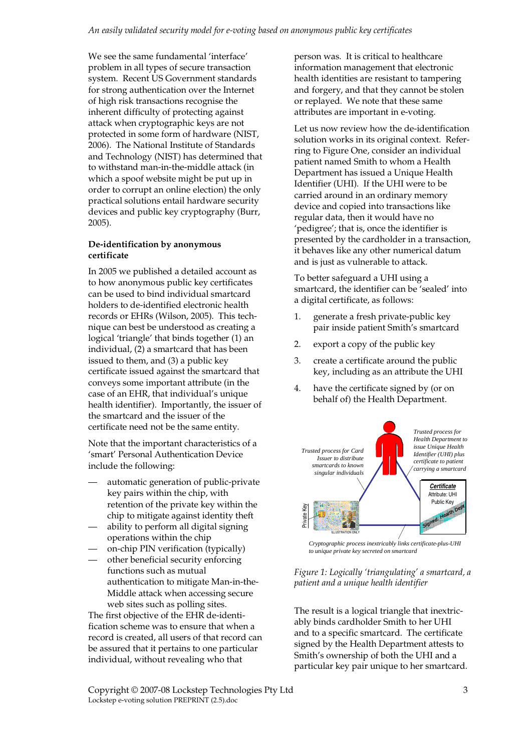We see the same fundamental 'interface' problem in all types of secure transaction system. Recent US Government standards for strong authentication over the Internet of high risk transactions recognise the inherent difficulty of protecting against attack when cryptographic keys are not protected in some form of hardware (NIST, 2006). The National Institute of Standards and Technology (NIST) has determined that to withstand man-in-the-middle attack (in which a spoof website might be put up in order to corrupt an online election) the only practical solutions entail hardware security devices and public key cryptography (Burr, 2005).

# **De-identification by anonymous certificate**

In 2005 we published a detailed account as to how anonymous public key certificates can be used to bind individual smartcard holders to de-identified electronic health records or EHRs (Wilson, 2005). This technique can best be understood as creating a logical 'triangle' that binds together (1) an individual, (2) a smartcard that has been issued to them, and (3) a public key certificate issued against the smartcard that conveys some important attribute (in the case of an EHR, that individual's unique health identifier). Importantly, the issuer of the smartcard and the issuer of the certificate need not be the same entity.

Note that the important characteristics of a 'smart' Personal Authentication Device include the following:

- automatic generation of public-private key pairs within the chip, with retention of the private key within the chip to mitigate against identity theft
- ability to perform all digital signing operations within the chip
- on-chip PIN verification (typically)
- other beneficial security enforcing functions such as mutual authentication to mitigate Man-in-the-Middle attack when accessing secure web sites such as polling sites.

The first objective of the EHR de-identification scheme was to ensure that when a record is created, all users of that record can be assured that it pertains to one particular individual, without revealing who that

person was. It is critical to healthcare information management that electronic health identities are resistant to tampering and forgery, and that they cannot be stolen or replayed. We note that these same attributes are important in e-voting.

Let us now review how the de-identification solution works in its original context. Referring to Figure One, consider an individual patient named Smith to whom a Health Department has issued a Unique Health Identifier (UHI). If the UHI were to be carried around in an ordinary memory device and copied into transactions like regular data, then it would have no 'pedigree'; that is, once the identifier is presented by the cardholder in a transaction, it behaves like any other numerical datum and is just as vulnerable to attack.

To better safeguard a UHI using a smartcard, the identifier can be 'sealed' into a digital certificate, as follows:

- 1. generate a fresh private-public key pair inside patient Smith's smartcard
- 2. export a copy of the public key
- 3. create a certificate around the public key, including as an attribute the UHI
- 4. have the certificate signed by (or on behalf of) the Health Department.



*to unique private key secreted on smartcard*

*Figure 1: Logically 'triangulating' a smartcard, a patient and a unique health identifier* 

The result is a logical triangle that inextricably binds cardholder Smith to her UHI and to a specific smartcard. The certificate signed by the Health Department attests to Smith's ownership of both the UHI and a particular key pair unique to her smartcard.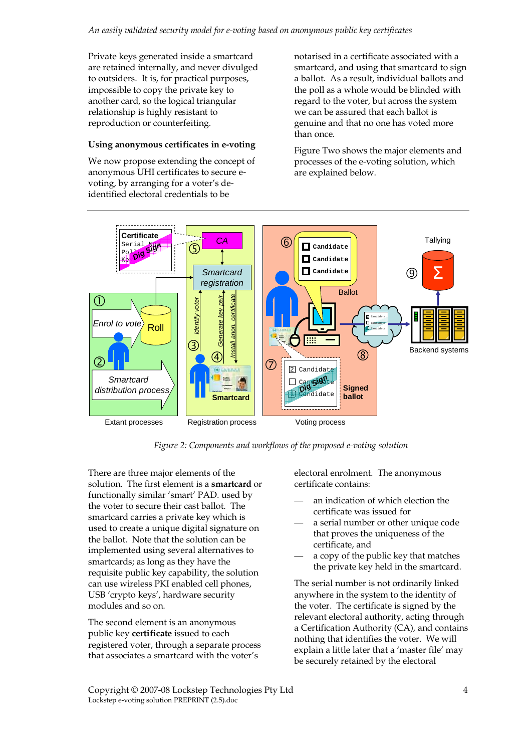Private keys generated inside a smartcard are retained internally, and never divulged to outsiders. It is, for practical purposes, impossible to copy the private key to another card, so the logical triangular relationship is highly resistant to reproduction or counterfeiting.

## **Using anonymous certificates in e-voting**

We now propose extending the concept of anonymous UHI certificates to secure evoting, by arranging for a voter's deidentified electoral credentials to be

notarised in a certificate associated with a smartcard, and using that smartcard to sign a ballot. As a result, individual ballots and the poll as a whole would be blinded with regard to the voter, but across the system we can be assured that each ballot is genuine and that no one has voted more than once.

Figure Two shows the major elements and processes of the e-voting solution, which are explained below.



*Figure 2: Components and workflows of the proposed e-voting solution* 

There are three major elements of the solution. The first element is a **smartcard** or functionally similar 'smart' PAD. used by the voter to secure their cast ballot. The smartcard carries a private key which is used to create a unique digital signature on the ballot. Note that the solution can be implemented using several alternatives to smartcards; as long as they have the requisite public key capability, the solution can use wireless PKI enabled cell phones, USB 'crypto keys', hardware security modules and so on.

The second element is an anonymous public key **certificate** issued to each registered voter, through a separate process that associates a smartcard with the voter's

electoral enrolment. The anonymous certificate contains:

- an indication of which election the certificate was issued for
- a serial number or other unique code that proves the uniqueness of the certificate, and
- a copy of the public key that matches the private key held in the smartcard.

The serial number is not ordinarily linked anywhere in the system to the identity of the voter. The certificate is signed by the relevant electoral authority, acting through a Certification Authority (CA), and contains nothing that identifies the voter. We will explain a little later that a 'master file' may be securely retained by the electoral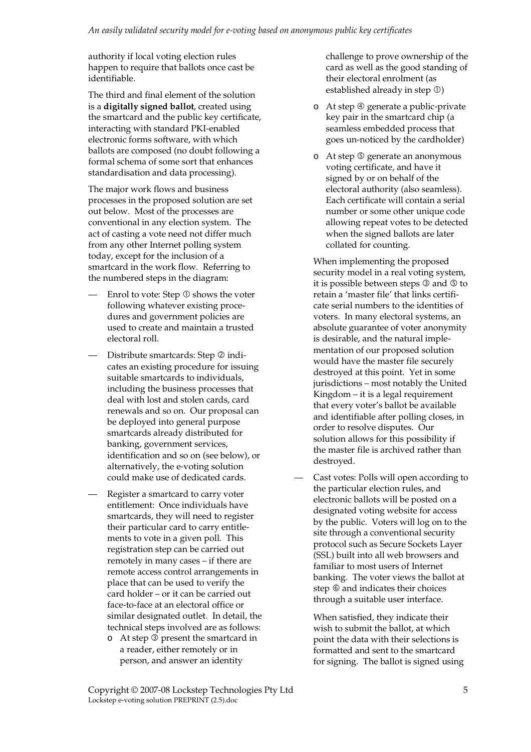authority if local voting election rules happen to require that ballots once cast be identifiable.

The third and final element of the solution is a **digitally signed ballot**, created using the smartcard and the public key certificate, interacting with standard PKI-enabled electronic forms software, with which ballots are composed (no doubt following a formal schema of some sort that enhances standardisation and data processing).

The major work flows and business processes in the proposed solution are set out below. Most of the processes are conventional in any election system. The act of casting a vote need not differ much from any other Internet polling system today, except for the inclusion of a smartcard in the work flow. Referring to the numbered steps in the diagram:

- Enrol to vote: Step  $\mathbb O$  shows the voter following whatever existing procedures and government policies are used to create and maintain a trusted electoral roll.
- Distribute smartcards: Step 2 indicates an existing procedure for issuing suitable smartcards to individuals, including the business processes that deal with lost and stolen cards, card renewals and so on. Our proposal can be deployed into general purpose smartcards already distributed for banking, government services, identification and so on (see below), or alternatively, the e-voting solution could make use of dedicated cards.
- Register a smartcard to carry voter entitlement: Once individuals have smartcards, they will need to register their particular card to carry entitlements to vote in a given poll. This registration step can be carried out remotely in many cases – if there are remote access control arrangements in place that can be used to verify the card holder – or it can be carried out face-to-face at an electoral office or similar designated outlet. In detail, the technical steps involved are as follows:
	- $\circ$  At step  $\overline{\circ}$  present the smartcard in a reader, either remotely or in person, and answer an identity

challenge to prove ownership of the card as well as the good standing of their electoral enrolment (as established already in step  $\mathcal{D}$ )

- $\circ$  At step  $\circled{q}$  generate a public-private key pair in the smartcard chip (a seamless embedded process that goes un-noticed by the cardholder)
- o At step **©** generate an anonymous voting certificate, and have it signed by or on behalf of the electoral authority (also seamless). Each certificate will contain a serial number or some other unique code allowing repeat votes to be detected when the signed ballots are later collated for counting.

When implementing the proposed security model in a real voting system, it is possible between steps  $\Im$  and  $\Im$  to retain a 'master file' that links certificate serial numbers to the identities of voters. In many electoral systems, an absolute guarantee of voter anonymity is desirable, and the natural implementation of our proposed solution would have the master file securely destroyed at this point. Yet in some jurisdictions – most notably the United Kingdom – it is a legal requirement that every voter's ballot be available and identifiable after polling closes, in order to resolve disputes. Our solution allows for this possibility if the master file is archived rather than destroyed.

— Cast votes: Polls will open according to the particular election rules, and electronic ballots will be posted on a designated voting website for access by the public. Voters will log on to the site through a conventional security protocol such as Secure Sockets Layer (SSL) built into all web browsers and familiar to most users of Internet banking. The voter views the ballot at step  $\circledcirc$  and indicates their choices through a suitable user interface.

When satisfied, they indicate their wish to submit the ballot, at which point the data with their selections is formatted and sent to the smartcard for signing. The ballot is signed using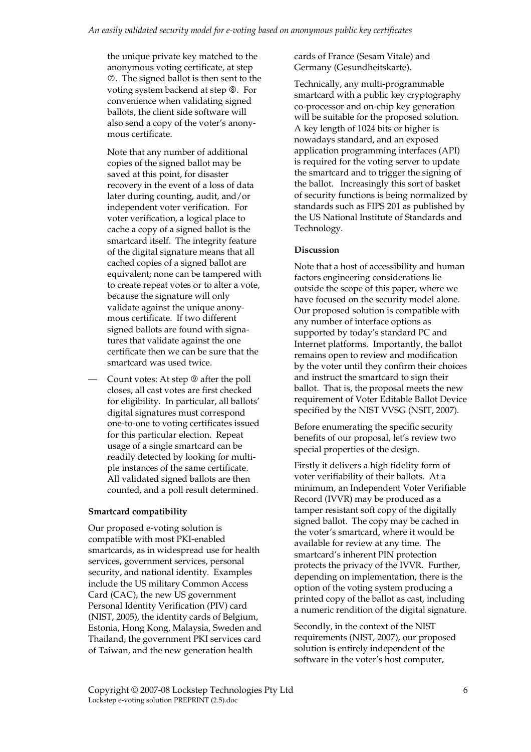the unique private key matched to the anonymous voting certificate, at step . The signed ballot is then sent to the voting system backend at step  $\circledast$ . For convenience when validating signed ballots, the client side software will also send a copy of the voter's anonymous certificate.

Note that any number of additional copies of the signed ballot may be saved at this point, for disaster recovery in the event of a loss of data later during counting, audit, and/or independent voter verification. For voter verification, a logical place to cache a copy of a signed ballot is the smartcard itself. The integrity feature of the digital signature means that all cached copies of a signed ballot are equivalent; none can be tampered with to create repeat votes or to alter a vote, because the signature will only validate against the unique anonymous certificate. If two different signed ballots are found with signatures that validate against the one certificate then we can be sure that the smartcard was used twice.

Count votes: At step  $\circledcirc$  after the poll closes, all cast votes are first checked for eligibility. In particular, all ballots' digital signatures must correspond one-to-one to voting certificates issued for this particular election. Repeat usage of a single smartcard can be readily detected by looking for multiple instances of the same certificate. All validated signed ballots are then counted, and a poll result determined.

## **Smartcard compatibility**

Our proposed e-voting solution is compatible with most PKI-enabled smartcards, as in widespread use for health services, government services, personal security, and national identity. Examples include the US military Common Access Card (CAC), the new US government Personal Identity Verification (PIV) card (NIST, 2005), the identity cards of Belgium, Estonia, Hong Kong, Malaysia, Sweden and Thailand, the government PKI services card of Taiwan, and the new generation health

cards of France (Sesam Vitale) and Germany (Gesundheitskarte).

Technically, any multi-programmable smartcard with a public key cryptography co-processor and on-chip key generation will be suitable for the proposed solution. A key length of 1024 bits or higher is nowadays standard, and an exposed application programming interfaces (API) is required for the voting server to update the smartcard and to trigger the signing of the ballot. Increasingly this sort of basket of security functions is being normalized by standards such as FIPS 201 as published by the US National Institute of Standards and Technology.

### **Discussion**

Note that a host of accessibility and human factors engineering considerations lie outside the scope of this paper, where we have focused on the security model alone. Our proposed solution is compatible with any number of interface options as supported by today's standard PC and Internet platforms. Importantly, the ballot remains open to review and modification by the voter until they confirm their choices and instruct the smartcard to sign their ballot. That is, the proposal meets the new requirement of Voter Editable Ballot Device specified by the NIST VVSG (NSIT, 2007).

Before enumerating the specific security benefits of our proposal, let's review two special properties of the design.

Firstly it delivers a high fidelity form of voter verifiability of their ballots. At a minimum, an Independent Voter Verifiable Record (IVVR) may be produced as a tamper resistant soft copy of the digitally signed ballot. The copy may be cached in the voter's smartcard, where it would be available for review at any time. The smartcard's inherent PIN protection protects the privacy of the IVVR. Further, depending on implementation, there is the option of the voting system producing a printed copy of the ballot as cast, including a numeric rendition of the digital signature.

Secondly, in the context of the NIST requirements (NIST, 2007), our proposed solution is entirely independent of the software in the voter's host computer,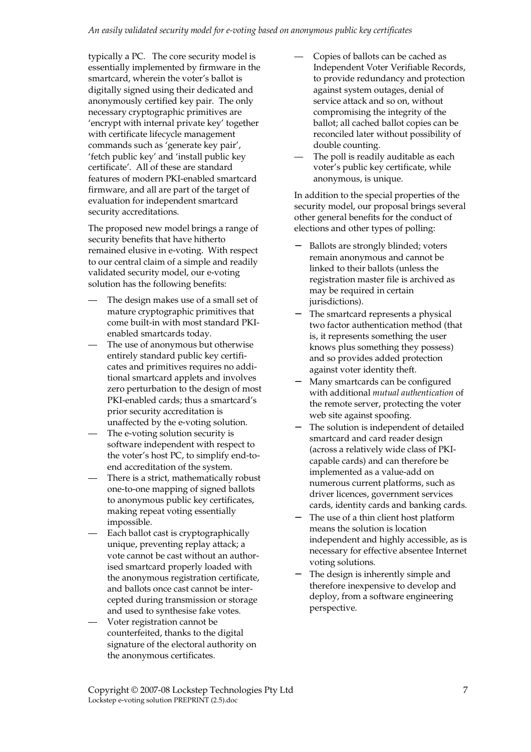typically a PC. The core security model is essentially implemented by firmware in the smartcard, wherein the voter's ballot is digitally signed using their dedicated and anonymously certified key pair. The only necessary cryptographic primitives are 'encrypt with internal private key' together with certificate lifecycle management commands such as 'generate key pair', 'fetch public key' and 'install public key certificate'. All of these are standard features of modern PKI-enabled smartcard firmware, and all are part of the target of evaluation for independent smartcard security accreditations.

The proposed new model brings a range of security benefits that have hitherto remained elusive in e-voting. With respect to our central claim of a simple and readily validated security model, our e-voting solution has the following benefits:

- The design makes use of a small set of mature cryptographic primitives that come built-in with most standard PKIenabled smartcards today.
- The use of anonymous but otherwise entirely standard public key certificates and primitives requires no additional smartcard applets and involves zero perturbation to the design of most PKI-enabled cards; thus a smartcard's prior security accreditation is unaffected by the e-voting solution.
- The e-voting solution security is software independent with respect to the voter's host PC, to simplify end-toend accreditation of the system.
- There is a strict, mathematically robust one-to-one mapping of signed ballots to anonymous public key certificates, making repeat voting essentially impossible.
- Each ballot cast is cryptographically unique, preventing replay attack; a vote cannot be cast without an authorised smartcard properly loaded with the anonymous registration certificate, and ballots once cast cannot be intercepted during transmission or storage and used to synthesise fake votes.
- Voter registration cannot be counterfeited, thanks to the digital signature of the electoral authority on the anonymous certificates.
- Copies of ballots can be cached as Independent Voter Verifiable Records, to provide redundancy and protection against system outages, denial of service attack and so on, without compromising the integrity of the ballot; all cached ballot copies can be reconciled later without possibility of double counting.
- The poll is readily auditable as each voter's public key certificate, while anonymous, is unique.

In addition to the special properties of the security model, our proposal brings several other general benefits for the conduct of elections and other types of polling:

- − Ballots are strongly blinded; voters remain anonymous and cannot be linked to their ballots (unless the registration master file is archived as may be required in certain jurisdictions).
- The smartcard represents a physical two factor authentication method (that is, it represents something the user knows plus something they possess) and so provides added protection against voter identity theft.
- Many smartcards can be configured with additional *mutual authentication* of the remote server, protecting the voter web site against spoofing.
- − The solution is independent of detailed smartcard and card reader design (across a relatively wide class of PKIcapable cards) and can therefore be implemented as a value-add on numerous current platforms, such as driver licences, government services cards, identity cards and banking cards.
- The use of a thin client host platform means the solution is location independent and highly accessible, as is necessary for effective absentee Internet voting solutions.
- The design is inherently simple and therefore inexpensive to develop and deploy, from a software engineering perspective.